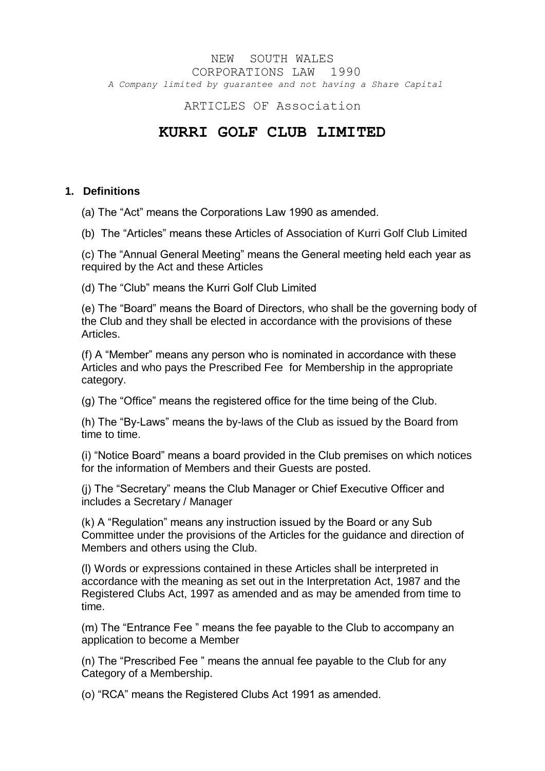## NEW SOUTH WALES CORPORATIONS LAW 1990 *A Company limited by guarantee and not having a Share Capital*

ARTICLES OF Association

# **KURRI GOLF CLUB LIMITED**

## **1. Definitions**

(a) The "Act" means the Corporations Law 1990 as amended.

(b) The "Articles" means these Articles of Association of Kurri Golf Club Limited

(c) The "Annual General Meeting" means the General meeting held each year as required by the Act and these Articles

(d) The "Club" means the Kurri Golf Club Limited

(e) The "Board" means the Board of Directors, who shall be the governing body of the Club and they shall be elected in accordance with the provisions of these Articles.

(f) A "Member" means any person who is nominated in accordance with these Articles and who pays the Prescribed Fee for Membership in the appropriate category.

(g) The "Office" means the registered office for the time being of the Club.

(h) The "By-Laws" means the by-laws of the Club as issued by the Board from time to time.

(i) "Notice Board" means a board provided in the Club premises on which notices for the information of Members and their Guests are posted.

(j) The "Secretary" means the Club Manager or Chief Executive Officer and includes a Secretary / Manager

(k) A "Regulation" means any instruction issued by the Board or any Sub Committee under the provisions of the Articles for the guidance and direction of Members and others using the Club.

(l) Words or expressions contained in these Articles shall be interpreted in accordance with the meaning as set out in the Interpretation Act, 1987 and the Registered Clubs Act, 1997 as amended and as may be amended from time to time.

(m) The "Entrance Fee " means the fee payable to the Club to accompany an application to become a Member

(n) The "Prescribed Fee " means the annual fee payable to the Club for any Category of a Membership.

(o) "RCA" means the Registered Clubs Act 1991 as amended.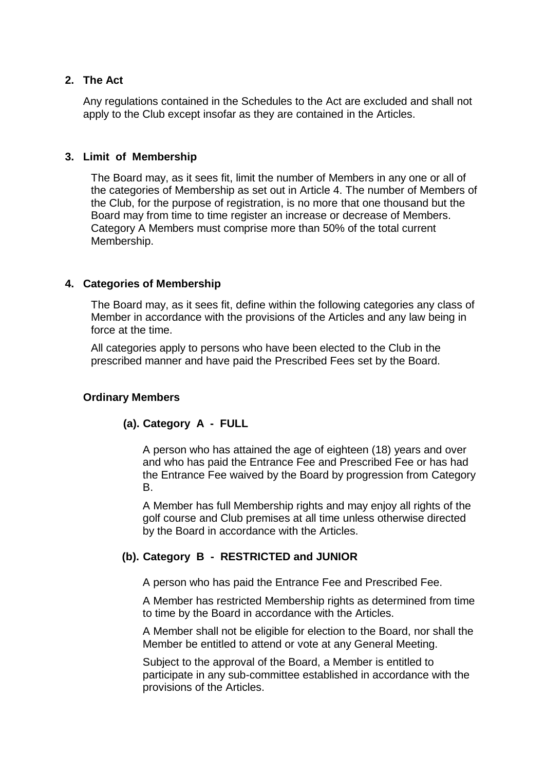## **2. The Act**

Any regulations contained in the Schedules to the Act are excluded and shall not apply to the Club except insofar as they are contained in the Articles.

## **3. Limit of Membership**

The Board may, as it sees fit, limit the number of Members in any one or all of the categories of Membership as set out in Article 4. The number of Members of the Club, for the purpose of registration, is no more that one thousand but the Board may from time to time register an increase or decrease of Members. Category A Members must comprise more than 50% of the total current Membership.

## **4. Categories of Membership**

The Board may, as it sees fit, define within the following categories any class of Member in accordance with the provisions of the Articles and any law being in force at the time.

All categories apply to persons who have been elected to the Club in the prescribed manner and have paid the Prescribed Fees set by the Board.

# **Ordinary Members**

# **(a). Category A - FULL**

A person who has attained the age of eighteen (18) years and over and who has paid the Entrance Fee and Prescribed Fee or has had the Entrance Fee waived by the Board by progression from Category B.

A Member has full Membership rights and may enjoy all rights of the golf course and Club premises at all time unless otherwise directed by the Board in accordance with the Articles.

# **(b). Category B - RESTRICTED and JUNIOR**

A person who has paid the Entrance Fee and Prescribed Fee.

A Member has restricted Membership rights as determined from time to time by the Board in accordance with the Articles.

A Member shall not be eligible for election to the Board, nor shall the Member be entitled to attend or vote at any General Meeting.

Subject to the approval of the Board, a Member is entitled to participate in any sub-committee established in accordance with the provisions of the Articles.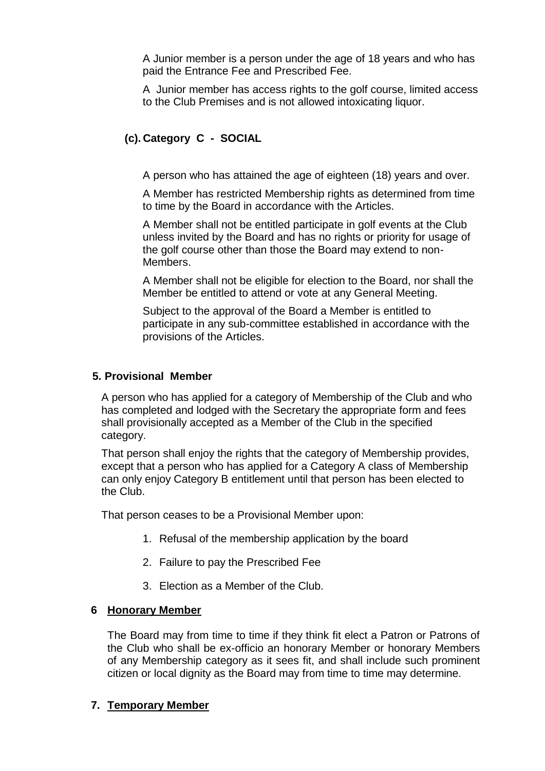A Junior member is a person under the age of 18 years and who has paid the Entrance Fee and Prescribed Fee.

A Junior member has access rights to the golf course, limited access to the Club Premises and is not allowed intoxicating liquor.

# **(c). Category C - SOCIAL**

A person who has attained the age of eighteen (18) years and over.

A Member has restricted Membership rights as determined from time to time by the Board in accordance with the Articles.

A Member shall not be entitled participate in golf events at the Club unless invited by the Board and has no rights or priority for usage of the golf course other than those the Board may extend to non-Members.

A Member shall not be eligible for election to the Board, nor shall the Member be entitled to attend or vote at any General Meeting.

Subject to the approval of the Board a Member is entitled to participate in any sub-committee established in accordance with the provisions of the Articles.

## **5. Provisional Member**

A person who has applied for a category of Membership of the Club and who has completed and lodged with the Secretary the appropriate form and fees shall provisionally accepted as a Member of the Club in the specified category.

That person shall enjoy the rights that the category of Membership provides, except that a person who has applied for a Category A class of Membership can only enjoy Category B entitlement until that person has been elected to the Club.

That person ceases to be a Provisional Member upon:

- 1. Refusal of the membership application by the board
- 2. Failure to pay the Prescribed Fee
- 3. Election as a Member of the Club.

#### **6 Honorary Member**

The Board may from time to time if they think fit elect a Patron or Patrons of the Club who shall be ex-officio an honorary Member or honorary Members of any Membership category as it sees fit, and shall include such prominent citizen or local dignity as the Board may from time to time may determine*.*

## **7. Temporary Member**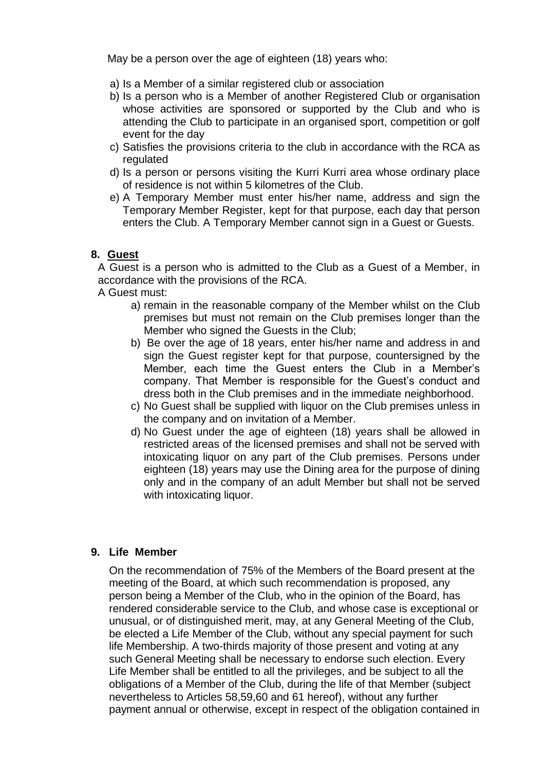May be a person over the age of eighteen (18) years who:

- a) Is a Member of a similar registered club or association
- b) Is a person who is a Member of another Registered Club or organisation whose activities are sponsored or supported by the Club and who is attending the Club to participate in an organised sport, competition or golf event for the day
- c) Satisfies the provisions criteria to the club in accordance with the RCA as regulated
- d) Is a person or persons visiting the Kurri Kurri area whose ordinary place of residence is not within 5 kilometres of the Club.
- e) A Temporary Member must enter his/her name, address and sign the Temporary Member Register, kept for that purpose, each day that person enters the Club. A Temporary Member cannot sign in a Guest or Guests.

# **8. Guest**

A Guest is a person who is admitted to the Club as a Guest of a Member, in accordance with the provisions of the RCA.

A Guest must:

- a) remain in the reasonable company of the Member whilst on the Club premises but must not remain on the Club premises longer than the Member who signed the Guests in the Club;
- b) Be over the age of 18 years, enter his/her name and address in and sign the Guest register kept for that purpose, countersigned by the Member, each time the Guest enters the Club in a Member's company. That Member is responsible for the Guest's conduct and dress both in the Club premises and in the immediate neighborhood.
- c) No Guest shall be supplied with liquor on the Club premises unless in the company and on invitation of a Member.
- d) No Guest under the age of eighteen (18) years shall be allowed in restricted areas of the licensed premises and shall not be served with intoxicating liquor on any part of the Club premises. Persons under eighteen (18) years may use the Dining area for the purpose of dining only and in the company of an adult Member but shall not be served with intoxicating liquor.

## **9. Life Member**

On the recommendation of 75% of the Members of the Board present at the meeting of the Board, at which such recommendation is proposed, any person being a Member of the Club, who in the opinion of the Board, has rendered considerable service to the Club, and whose case is exceptional or unusual, or of distinguished merit, may, at any General Meeting of the Club, be elected a Life Member of the Club, without any special payment for such life Membership. A two-thirds majority of those present and voting at any such General Meeting shall be necessary to endorse such election. Every Life Member shall be entitled to all the privileges, and be subject to all the obligations of a Member of the Club, during the life of that Member (subject nevertheless to Articles 58,59,60 and 61 hereof), without any further payment annual or otherwise, except in respect of the obligation contained in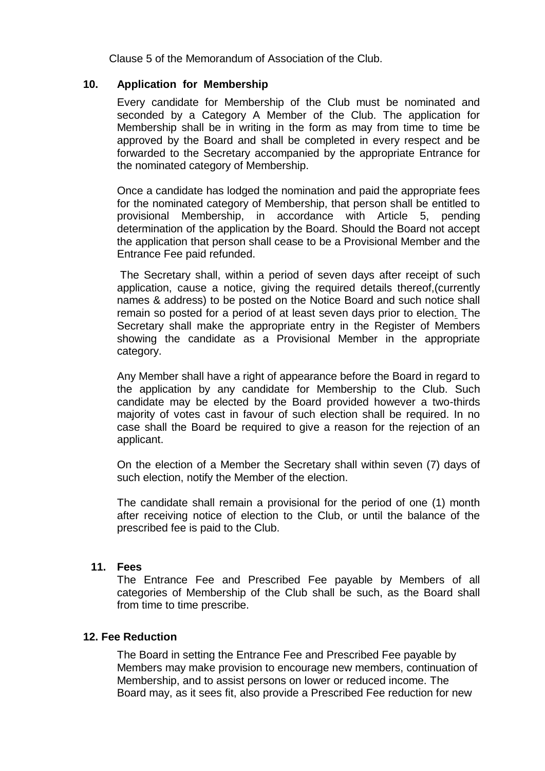Clause 5 of the Memorandum of Association of the Club.

## **10. Application for Membership**

Every candidate for Membership of the Club must be nominated and seconded by a Category A Member of the Club. The application for Membership shall be in writing in the form as may from time to time be approved by the Board and shall be completed in every respect and be forwarded to the Secretary accompanied by the appropriate Entrance for the nominated category of Membership.

Once a candidate has lodged the nomination and paid the appropriate fees for the nominated category of Membership, that person shall be entitled to provisional Membership, in accordance with Article 5, pending determination of the application by the Board. Should the Board not accept the application that person shall cease to be a Provisional Member and the Entrance Fee paid refunded.

The Secretary shall, within a period of seven days after receipt of such application, cause a notice, giving the required details thereof,(currently names & address) to be posted on the Notice Board and such notice shall remain so posted for a period of at least seven days prior to election*.* The Secretary shall make the appropriate entry in the Register of Members showing the candidate as a Provisional Member in the appropriate category.

Any Member shall have a right of appearance before the Board in regard to the application by any candidate for Membership to the Club. Such candidate may be elected by the Board provided however a two-thirds majority of votes cast in favour of such election shall be required. In no case shall the Board be required to give a reason for the rejection of an applicant.

On the election of a Member the Secretary shall within seven (7) days of such election, notify the Member of the election.

The candidate shall remain a provisional for the period of one (1) month after receiving notice of election to the Club, or until the balance of the prescribed fee is paid to the Club.

#### **11. Fees**

The Entrance Fee and Prescribed Fee payable by Members of all categories of Membership of the Club shall be such, as the Board shall from time to time prescribe.

## **12. Fee Reduction**

The Board in setting the Entrance Fee and Prescribed Fee payable by Members may make provision to encourage new members, continuation of Membership, and to assist persons on lower or reduced income. The Board may, as it sees fit, also provide a Prescribed Fee reduction for new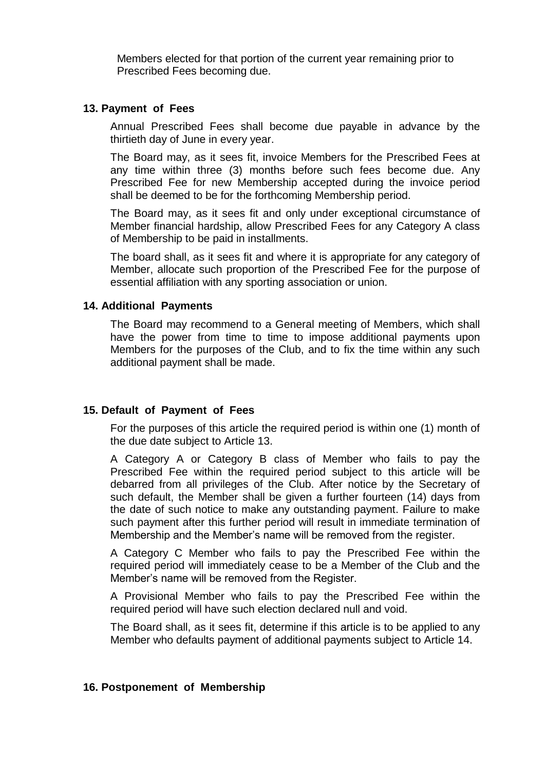Members elected for that portion of the current year remaining prior to Prescribed Fees becoming due.

#### **13. Payment of Fees**

Annual Prescribed Fees shall become due payable in advance by the thirtieth day of June in every year.

The Board may, as it sees fit, invoice Members for the Prescribed Fees at any time within three (3) months before such fees become due. Any Prescribed Fee for new Membership accepted during the invoice period shall be deemed to be for the forthcoming Membership period.

The Board may, as it sees fit and only under exceptional circumstance of Member financial hardship, allow Prescribed Fees for any Category A class of Membership to be paid in installments.

The board shall, as it sees fit and where it is appropriate for any category of Member, allocate such proportion of the Prescribed Fee for the purpose of essential affiliation with any sporting association or union.

#### **14. Additional Payments**

The Board may recommend to a General meeting of Members, which shall have the power from time to time to impose additional payments upon Members for the purposes of the Club, and to fix the time within any such additional payment shall be made.

## **15. Default of Payment of Fees**

For the purposes of this article the required period is within one (1) month of the due date subject to Article 13.

A Category A or Category B class of Member who fails to pay the Prescribed Fee within the required period subject to this article will be debarred from all privileges of the Club. After notice by the Secretary of such default, the Member shall be given a further fourteen (14) days from the date of such notice to make any outstanding payment. Failure to make such payment after this further period will result in immediate termination of Membership and the Member's name will be removed from the register.

A Category C Member who fails to pay the Prescribed Fee within the required period will immediately cease to be a Member of the Club and the Member's name will be removed from the Register.

A Provisional Member who fails to pay the Prescribed Fee within the required period will have such election declared null and void.

The Board shall, as it sees fit, determine if this article is to be applied to any Member who defaults payment of additional payments subject to Article 14.

#### **16. Postponement of Membership**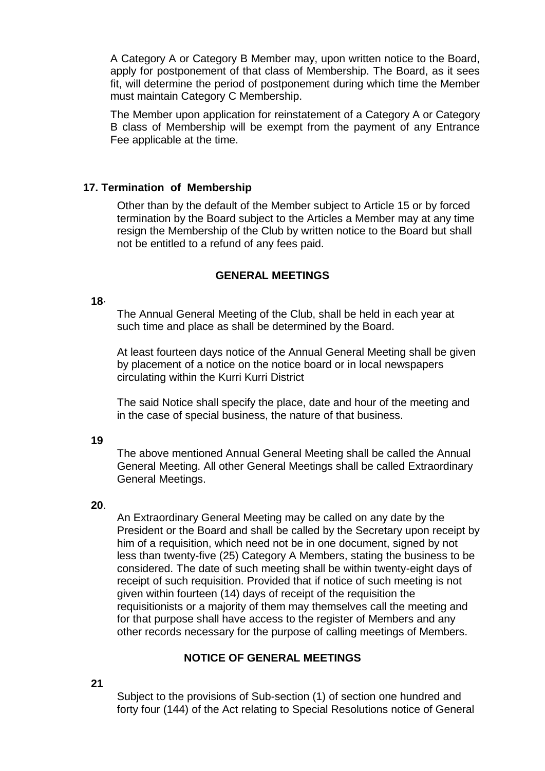A Category A or Category B Member may, upon written notice to the Board, apply for postponement of that class of Membership. The Board, as it sees fit, will determine the period of postponement during which time the Member must maintain Category C Membership.

The Member upon application for reinstatement of a Category A or Category B class of Membership will be exempt from the payment of any Entrance Fee applicable at the time.

## **17. Termination of Membership**

Other than by the default of the Member subject to Article 15 or by forced termination by the Board subject to the Articles a Member may at any time resign the Membership of the Club by written notice to the Board but shall not be entitled to a refund of any fees paid.

## **GENERAL MEETINGS**

#### **18**·

The Annual General Meeting of the Club, shall be held in each year at such time and place as shall be determined by the Board.

At least fourteen days notice of the Annual General Meeting shall be given by placement of a notice on the notice board or in local newspapers circulating within the Kurri Kurri District

The said Notice shall specify the place, date and hour of the meeting and in the case of special business, the nature of that business.

**19**

The above mentioned Annual General Meeting shall be called the Annual General Meeting. All other General Meetings shall be called Extraordinary General Meetings.

## **20**.

An Extraordinary General Meeting may be called on any date by the President or the Board and shall be called by the Secretary upon receipt by him of a requisition, which need not be in one document, signed by not less than twenty-five (25) Category A Members, stating the business to be considered. The date of such meeting shall be within twenty-eight days of receipt of such requisition. Provided that if notice of such meeting is not given within fourteen (14) days of receipt of the requisition the requisitionists or a majority of them may themselves call the meeting and for that purpose shall have access to the register of Members and any other records necessary for the purpose of calling meetings of Members.

## **NOTICE OF GENERAL MEETINGS**

## **21**

Subject to the provisions of Sub-section (1) of section one hundred and forty four (144) of the Act relating to Special Resolutions notice of General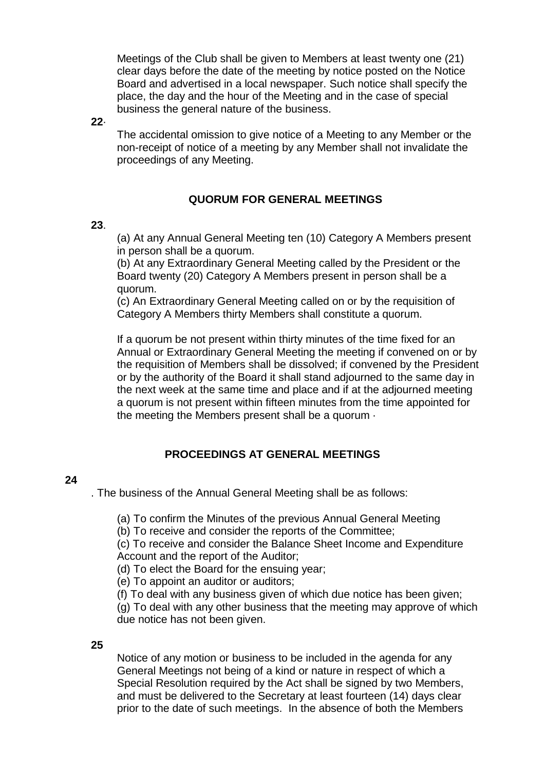Meetings of the Club shall be given to Members at least twenty one (21) clear days before the date of the meeting by notice posted on the Notice Board and advertised in a local newspaper. Such notice shall specify the place, the day and the hour of the Meeting and in the case of special business the general nature of the business.

**22**·

The accidental omission to give notice of a Meeting to any Member or the non-receipt of notice of a meeting by any Member shall not invalidate the proceedings of any Meeting.

## **QUORUM FOR GENERAL MEETINGS**

#### **23**.

(a) At any Annual General Meeting ten (10) Category A Members present in person shall be a quorum.

(b) At any Extraordinary General Meeting called by the President or the Board twenty (20) Category A Members present in person shall be a quorum.

(c) An Extraordinary General Meeting called on or by the requisition of Category A Members thirty Members shall constitute a quorum.

If a quorum be not present within thirty minutes of the time fixed for an Annual or Extraordinary General Meeting the meeting if convened on or by the requisition of Members shall be dissolved; if convened by the President or by the authority of the Board it shall stand adjourned to the same day in the next week at the same time and place and if at the adjourned meeting a quorum is not present within fifteen minutes from the time appointed for the meeting the Members present shall be a quorum ·

## **PROCEEDINGS AT GENERAL MEETINGS**

#### **24**

. The business of the Annual General Meeting shall be as follows:

(a) To confirm the Minutes of the previous Annual General Meeting

(b) To receive and consider the reports of the Committee;

(c) To receive and consider the Balance Sheet Income and Expenditure Account and the report of the Auditor;

(d) To elect the Board for the ensuing year;

(e) To appoint an auditor or auditors;

(f) To deal with any business given of which due notice has been given; (g) To deal with any other business that the meeting may approve of which due notice has not been given.

#### **25**

Notice of any motion or business to be included in the agenda for any General Meetings not being of a kind or nature in respect of which a Special Resolution required by the Act shall be signed by two Members, and must be delivered to the Secretary at least fourteen (14) days clear prior to the date of such meetings. In the absence of both the Members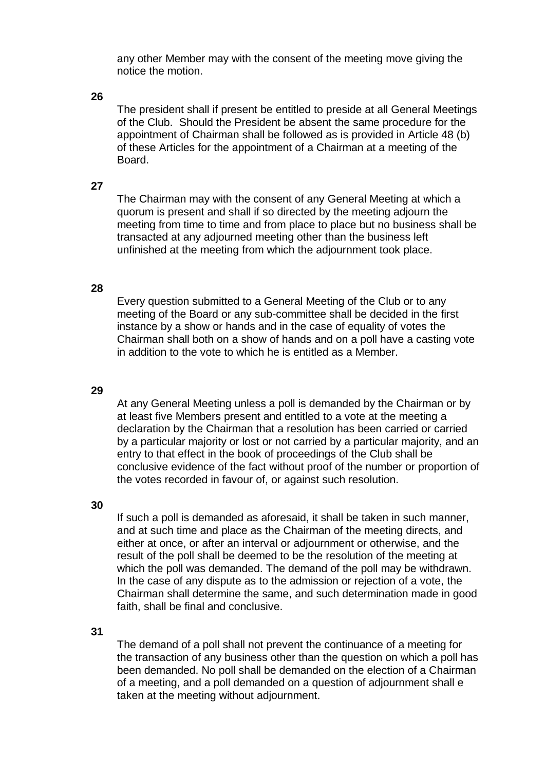any other Member may with the consent of the meeting move giving the notice the motion.

## **26**

The president shall if present be entitled to preside at all General Meetings of the Club. Should the President be absent the same procedure for the appointment of Chairman shall be followed as is provided in Article 48 (b) of these Articles for the appointment of a Chairman at a meeting of the Board.

#### **27**

The Chairman may with the consent of any General Meeting at which a quorum is present and shall if so directed by the meeting adjourn the meeting from time to time and from place to place but no business shall be transacted at any adjourned meeting other than the business left unfinished at the meeting from which the adjournment took place.

#### **28**

Every question submitted to a General Meeting of the Club or to any meeting of the Board or any sub-committee shall be decided in the first instance by a show or hands and in the case of equality of votes the Chairman shall both on a show of hands and on a poll have a casting vote in addition to the vote to which he is entitled as a Member.

#### **29**

At any General Meeting unless a poll is demanded by the Chairman or by at least five Members present and entitled to a vote at the meeting a declaration by the Chairman that a resolution has been carried or carried by a particular majority or lost or not carried by a particular majority, and an entry to that effect in the book of proceedings of the Club shall be conclusive evidence of the fact without proof of the number or proportion of the votes recorded in favour of, or against such resolution.

#### **30**

If such a poll is demanded as aforesaid, it shall be taken in such manner, and at such time and place as the Chairman of the meeting directs, and either at once, or after an interval or adjournment or otherwise, and the result of the poll shall be deemed to be the resolution of the meeting at which the poll was demanded. The demand of the poll may be withdrawn. In the case of any dispute as to the admission or rejection of a vote, the Chairman shall determine the same, and such determination made in good faith, shall be final and conclusive.

#### **31**

The demand of a poll shall not prevent the continuance of a meeting for the transaction of any business other than the question on which a poll has been demanded. No poll shall be demanded on the election of a Chairman of a meeting, and a poll demanded on a question of adjournment shall e taken at the meeting without adjournment.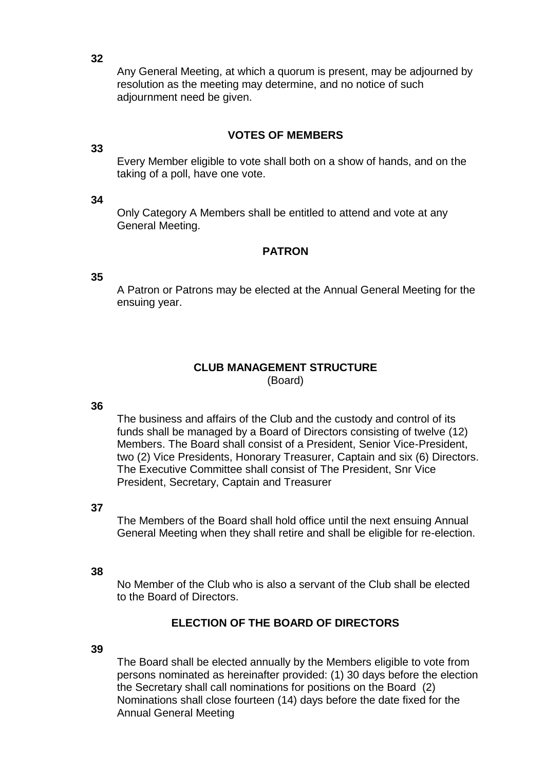Any General Meeting, at which a quorum is present, may be adjourned by resolution as the meeting may determine, and no notice of such adjournment need be given.

## **VOTES OF MEMBERS**

#### **33**

Every Member eligible to vote shall both on a show of hands, and on the taking of a poll, have one vote.

#### **34**

Only Category A Members shall be entitled to attend and vote at any General Meeting.

#### **PATRON**

#### **35**

A Patron or Patrons may be elected at the Annual General Meeting for the ensuing year.

# **CLUB MANAGEMENT STRUCTURE**

(Board)

#### **36**

The business and affairs of the Club and the custody and control of its funds shall be managed by a Board of Directors consisting of twelve (12) Members. The Board shall consist of a President, Senior Vice-President, two (2) Vice Presidents, Honorary Treasurer, Captain and six (6) Directors. The Executive Committee shall consist of The President, Snr Vice President, Secretary, Captain and Treasurer

#### **37**

The Members of the Board shall hold office until the next ensuing Annual General Meeting when they shall retire and shall be eligible for re-election.

#### **38**

No Member of the Club who is also a servant of the Club shall be elected to the Board of Directors.

#### **ELECTION OF THE BOARD OF DIRECTORS**

## **39**

The Board shall be elected annually by the Members eligible to vote from persons nominated as hereinafter provided: (1) 30 days before the election the Secretary shall call nominations for positions on the Board (2) Nominations shall close fourteen (14) days before the date fixed for the Annual General Meeting

**32**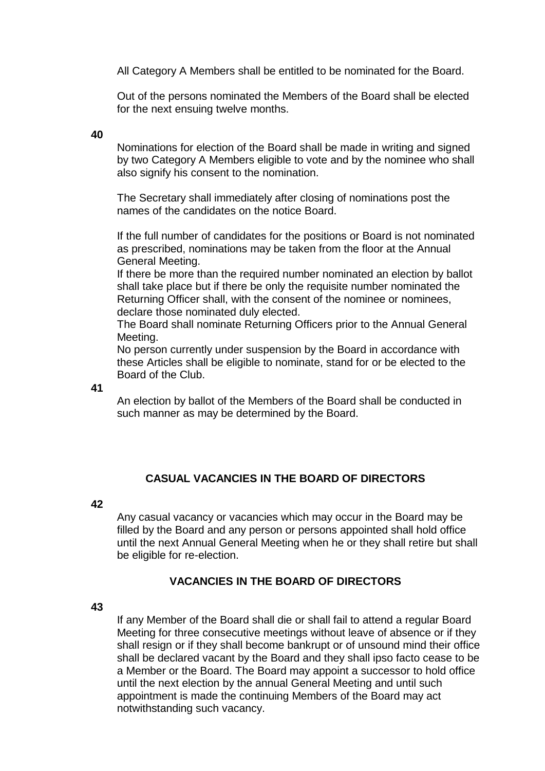All Category A Members shall be entitled to be nominated for the Board.

Out of the persons nominated the Members of the Board shall be elected for the next ensuing twelve months.

#### **40**

Nominations for election of the Board shall be made in writing and signed by two Category A Members eligible to vote and by the nominee who shall also signify his consent to the nomination.

The Secretary shall immediately after closing of nominations post the names of the candidates on the notice Board.

If the full number of candidates for the positions or Board is not nominated as prescribed, nominations may be taken from the floor at the Annual General Meeting.

If there be more than the required number nominated an election by ballot shall take place but if there be only the requisite number nominated the Returning Officer shall, with the consent of the nominee or nominees, declare those nominated duly elected.

The Board shall nominate Returning Officers prior to the Annual General Meeting.

No person currently under suspension by the Board in accordance with these Articles shall be eligible to nominate, stand for or be elected to the Board of the Club.

**41**

An election by ballot of the Members of the Board shall be conducted in such manner as may be determined by the Board.

# **CASUAL VACANCIES IN THE BOARD OF DIRECTORS**

#### **42**

Any casual vacancy or vacancies which may occur in the Board may be filled by the Board and any person or persons appointed shall hold office until the next Annual General Meeting when he or they shall retire but shall be eligible for re-election.

## **VACANCIES IN THE BOARD OF DIRECTORS**

#### **43**

If any Member of the Board shall die or shall fail to attend a regular Board Meeting for three consecutive meetings without leave of absence or if they shall resign or if they shall become bankrupt or of unsound mind their office shall be declared vacant by the Board and they shall ipso facto cease to be a Member or the Board. The Board may appoint a successor to hold office until the next election by the annual General Meeting and until such appointment is made the continuing Members of the Board may act notwithstanding such vacancy.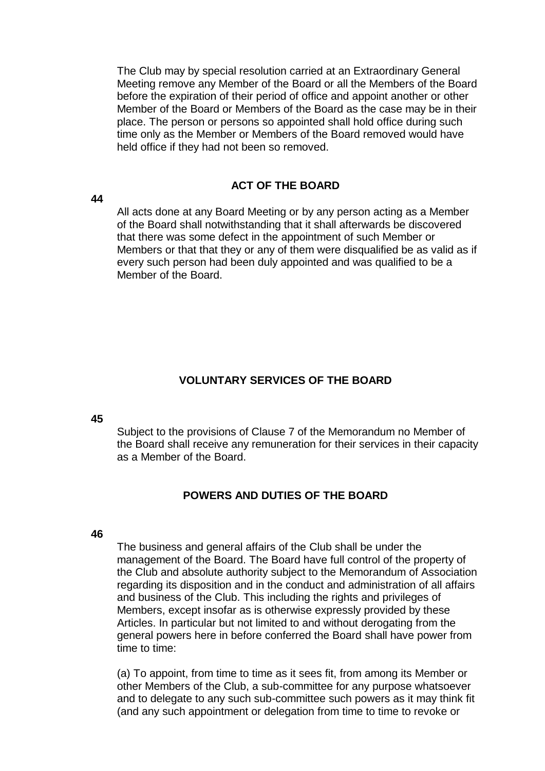The Club may by special resolution carried at an Extraordinary General Meeting remove any Member of the Board or all the Members of the Board before the expiration of their period of office and appoint another or other Member of the Board or Members of the Board as the case may be in their place. The person or persons so appointed shall hold office during such time only as the Member or Members of the Board removed would have held office if they had not been so removed.

## **ACT OF THE BOARD**

**44**

All acts done at any Board Meeting or by any person acting as a Member of the Board shall notwithstanding that it shall afterwards be discovered that there was some defect in the appointment of such Member or Members or that that they or any of them were disqualified be as valid as if every such person had been duly appointed and was qualified to be a Member of the Board.

## **VOLUNTARY SERVICES OF THE BOARD**

#### **45**

Subject to the provisions of Clause 7 of the Memorandum no Member of the Board shall receive any remuneration for their services in their capacity as a Member of the Board.

## **POWERS AND DUTIES OF THE BOARD**

#### **46**

The business and general affairs of the Club shall be under the management of the Board. The Board have full control of the property of the Club and absolute authority subject to the Memorandum of Association regarding its disposition and in the conduct and administration of all affairs and business of the Club. This including the rights and privileges of Members, except insofar as is otherwise expressly provided by these Articles. In particular but not limited to and without derogating from the general powers here in before conferred the Board shall have power from time to time:

(a) To appoint, from time to time as it sees fit, from among its Member or other Members of the Club, a sub-committee for any purpose whatsoever and to delegate to any such sub-committee such powers as it may think fit (and any such appointment or delegation from time to time to revoke or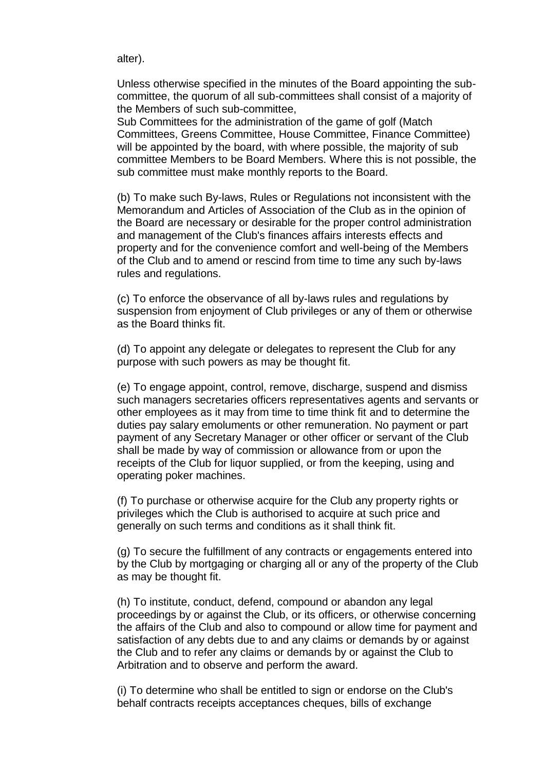alter).

Unless otherwise specified in the minutes of the Board appointing the subcommittee, the quorum of all sub-committees shall consist of a majority of the Members of such sub-committee,

Sub Committees for the administration of the game of golf (Match Committees, Greens Committee, House Committee, Finance Committee) will be appointed by the board, with where possible, the majority of sub committee Members to be Board Members. Where this is not possible, the sub committee must make monthly reports to the Board.

(b) To make such By-laws, Rules or Regulations not inconsistent with the Memorandum and Articles of Association of the Club as in the opinion of the Board are necessary or desirable for the proper control administration and management of the Club's finances affairs interests effects and property and for the convenience comfort and well-being of the Members of the Club and to amend or rescind from time to time any such by-laws rules and regulations.

(c) To enforce the observance of all by-laws rules and regulations by suspension from enjoyment of Club privileges or any of them or otherwise as the Board thinks fit.

(d) To appoint any delegate or delegates to represent the Club for any purpose with such powers as may be thought fit.

(e) To engage appoint, control, remove, discharge, suspend and dismiss such managers secretaries officers representatives agents and servants or other employees as it may from time to time think fit and to determine the duties pay salary emoluments or other remuneration. No payment or part payment of any Secretary Manager or other officer or servant of the Club shall be made by way of commission or allowance from or upon the receipts of the Club for liquor supplied, or from the keeping, using and operating poker machines.

(f) To purchase or otherwise acquire for the Club any property rights or privileges which the Club is authorised to acquire at such price and generally on such terms and conditions as it shall think fit.

(g) To secure the fulfillment of any contracts or engagements entered into by the Club by mortgaging or charging all or any of the property of the Club as may be thought fit.

(h) To institute, conduct, defend, compound or abandon any legal proceedings by or against the Club, or its officers, or otherwise concerning the affairs of the Club and also to compound or allow time for payment and satisfaction of any debts due to and any claims or demands by or against the Club and to refer any claims or demands by or against the Club to Arbitration and to observe and perform the award.

(i) To determine who shall be entitled to sign or endorse on the Club's behalf contracts receipts acceptances cheques, bills of exchange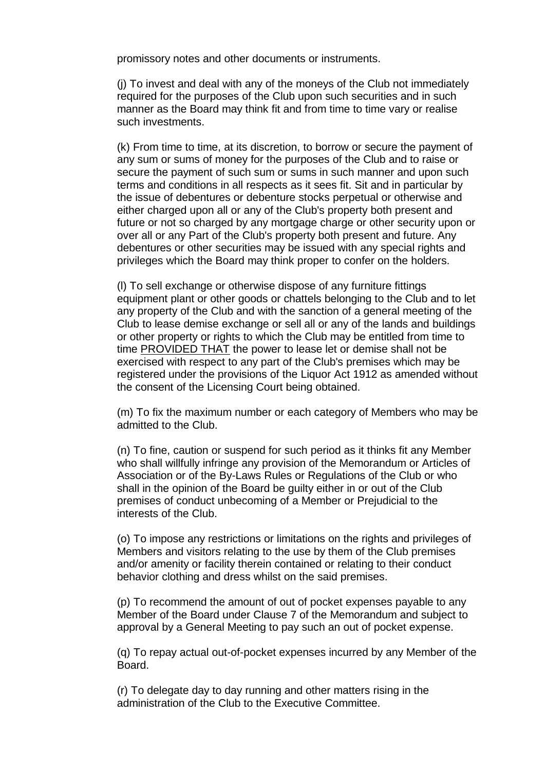promissory notes and other documents or instruments.

(j) To invest and deal with any of the moneys of the Club not immediately required for the purposes of the Club upon such securities and in such manner as the Board may think fit and from time to time vary or realise such investments.

(k) From time to time, at its discretion, to borrow or secure the payment of any sum or sums of money for the purposes of the Club and to raise or secure the payment of such sum or sums in such manner and upon such terms and conditions in all respects as it sees fit. Sit and in particular by the issue of debentures or debenture stocks perpetual or otherwise and either charged upon all or any of the Club's property both present and future or not so charged by any mortgage charge or other security upon or over all or any Part of the Club's property both present and future. Any debentures or other securities may be issued with any special rights and privileges which the Board may think proper to confer on the holders.

(l) To sell exchange or otherwise dispose of any furniture fittings equipment plant or other goods or chattels belonging to the Club and to let any property of the Club and with the sanction of a general meeting of the Club to lease demise exchange or sell all or any of the lands and buildings or other property or rights to which the Club may be entitled from time to time PROVIDED THAT the power to lease let or demise shall not be exercised with respect to any part of the Club's premises which may be registered under the provisions of the Liquor Act 1912 as amended without the consent of the Licensing Court being obtained.

(m) To fix the maximum number or each category of Members who may be admitted to the Club.

(n) To fine, caution or suspend for such period as it thinks fit any Member who shall willfully infringe any provision of the Memorandum or Articles of Association or of the By-Laws Rules or Regulations of the Club or who shall in the opinion of the Board be guilty either in or out of the Club premises of conduct unbecoming of a Member or Prejudicial to the interests of the Club.

(o) To impose any restrictions or limitations on the rights and privileges of Members and visitors relating to the use by them of the Club premises and/or amenity or facility therein contained or relating to their conduct behavior clothing and dress whilst on the said premises.

(p) To recommend the amount of out of pocket expenses payable to any Member of the Board under Clause 7 of the Memorandum and subject to approval by a General Meeting to pay such an out of pocket expense.

(q) To repay actual out-of-pocket expenses incurred by any Member of the Board.

(r) To delegate day to day running and other matters rising in the administration of the Club to the Executive Committee.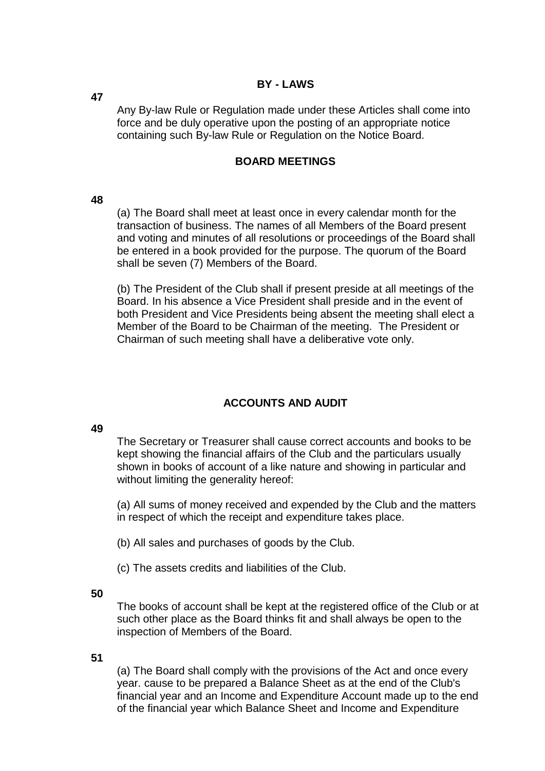## **BY - LAWS**

Any By-law Rule or Regulation made under these Articles shall come into force and be duly operative upon the posting of an appropriate notice containing such By-law Rule or Regulation on the Notice Board.

## **BOARD MEETINGS**

#### **48**

(a) The Board shall meet at least once in every calendar month for the transaction of business. The names of all Members of the Board present and voting and minutes of all resolutions or proceedings of the Board shall be entered in a book provided for the purpose. The quorum of the Board shall be seven (7) Members of the Board.

(b) The President of the Club shall if present preside at all meetings of the Board. In his absence a Vice President shall preside and in the event of both President and Vice Presidents being absent the meeting shall elect a Member of the Board to be Chairman of the meeting. The President or Chairman of such meeting shall have a deliberative vote only.

# **ACCOUNTS AND AUDIT**

#### **49**

The Secretary or Treasurer shall cause correct accounts and books to be kept showing the financial affairs of the Club and the particulars usually shown in books of account of a like nature and showing in particular and without limiting the generality hereof:

(a) All sums of money received and expended by the Club and the matters in respect of which the receipt and expenditure takes place.

(b) All sales and purchases of goods by the Club.

(c) The assets credits and liabilities of the Club.

#### **50**

The books of account shall be kept at the registered office of the Club or at such other place as the Board thinks fit and shall always be open to the inspection of Members of the Board.

#### **51**

(a) The Board shall comply with the provisions of the Act and once every year. cause to be prepared a Balance Sheet as at the end of the Club's financial year and an Income and Expenditure Account made up to the end of the financial year which Balance Sheet and Income and Expenditure

**47**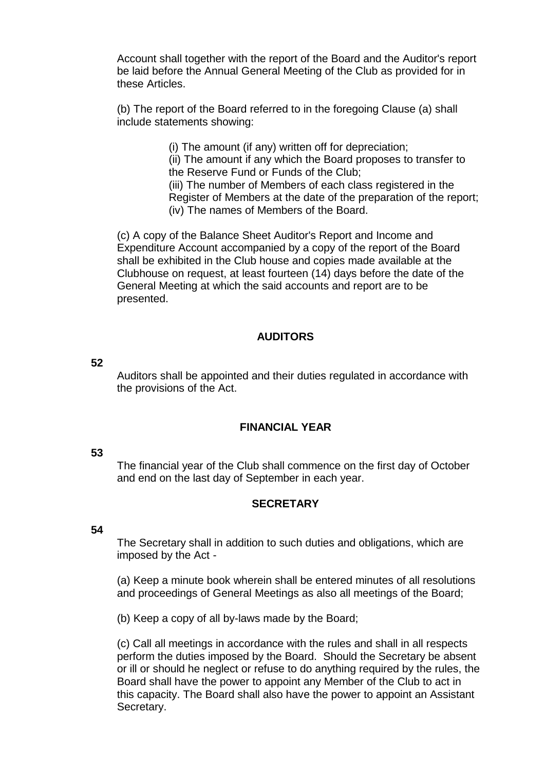Account shall together with the report of the Board and the Auditor's report be laid before the Annual General Meeting of the Club as provided for in these Articles.

(b) The report of the Board referred to in the foregoing Clause (a) shall include statements showing:

(i) The amount (if any) written off for depreciation;

(ii) The amount if any which the Board proposes to transfer to the Reserve Fund or Funds of the Club;

(iii) The number of Members of each class registered in the Register of Members at the date of the preparation of the report; (iv) The names of Members of the Board.

(c) A copy of the Balance Sheet Auditor's Report and Income and Expenditure Account accompanied by a copy of the report of the Board shall be exhibited in the Club house and copies made available at the Clubhouse on request, at least fourteen (14) days before the date of the General Meeting at which the said accounts and report are to be presented.

## **AUDITORS**

## **52**

Auditors shall be appointed and their duties regulated in accordance with the provisions of the Act.

## **FINANCIAL YEAR**

#### **53**

The financial year of the Club shall commence on the first day of October and end on the last day of September in each year.

## **SECRETARY**

#### **54**

The Secretary shall in addition to such duties and obligations, which are imposed by the Act -

(a) Keep a minute book wherein shall be entered minutes of all resolutions and proceedings of General Meetings as also all meetings of the Board;

(b) Keep a copy of all by-laws made by the Board;

(c) Call all meetings in accordance with the rules and shall in all respects perform the duties imposed by the Board. Should the Secretary be absent or ill or should he neglect or refuse to do anything required by the rules, the Board shall have the power to appoint any Member of the Club to act in this capacity. The Board shall also have the power to appoint an Assistant Secretary.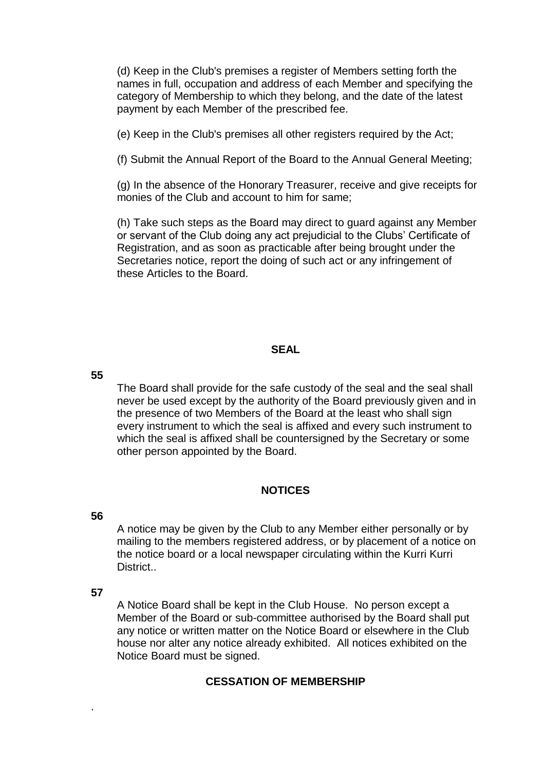(d) Keep in the Club's premises a register of Members setting forth the names in full, occupation and address of each Member and specifying the category of Membership to which they belong, and the date of the latest payment by each Member of the prescribed fee.

(e) Keep in the Club's premises all other registers required by the Act;

(f) Submit the Annual Report of the Board to the Annual General Meeting;

(g) In the absence of the Honorary Treasurer, receive and give receipts for monies of the Club and account to him for same;

(h) Take such steps as the Board may direct to guard against any Member or servant of the Club doing any act prejudicial to the Clubs' Certificate of Registration, and as soon as practicable after being brought under the Secretaries notice, report the doing of such act or any infringement of these Articles to the Board.

#### **SEAL**

**55**

The Board shall provide for the safe custody of the seal and the seal shall never be used except by the authority of the Board previously given and in the presence of two Members of the Board at the least who shall sign every instrument to which the seal is affixed and every such instrument to which the seal is affixed shall be countersigned by the Secretary or some other person appointed by the Board.

#### **NOTICES**

#### **56**

A notice may be given by the Club to any Member either personally or by mailing to the members registered address, or by placement of a notice on the notice board or a local newspaper circulating within the Kurri Kurri District..

#### **57**

.

A Notice Board shall be kept in the Club House. No person except a Member of the Board or sub-committee authorised by the Board shall put any notice or written matter on the Notice Board or elsewhere in the Club house nor alter any notice already exhibited. All notices exhibited on the Notice Board must be signed.

## **CESSATION OF MEMBERSHIP**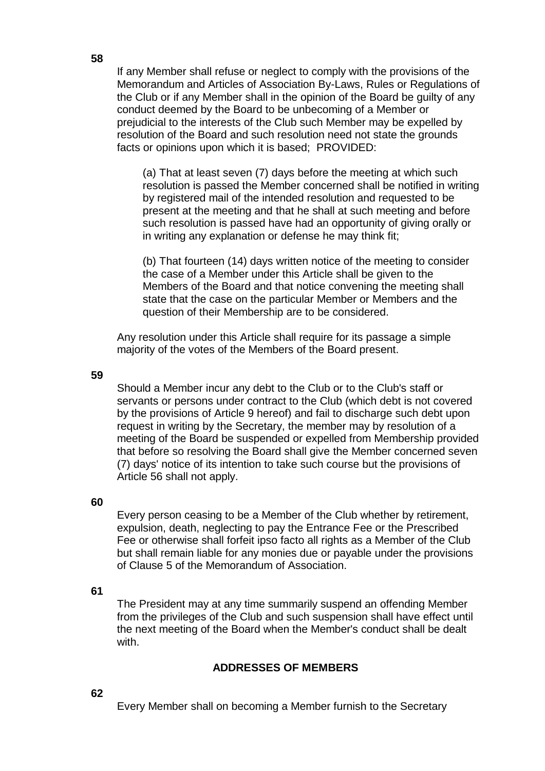If any Member shall refuse or neglect to comply with the provisions of the Memorandum and Articles of Association By-Laws, Rules or Regulations of the Club or if any Member shall in the opinion of the Board be guilty of any conduct deemed by the Board to be unbecoming of a Member or prejudicial to the interests of the Club such Member may be expelled by resolution of the Board and such resolution need not state the grounds facts or opinions upon which it is based; PROVIDED:

(a) That at least seven (7) days before the meeting at which such resolution is passed the Member concerned shall be notified in writing by registered mail of the intended resolution and requested to be present at the meeting and that he shall at such meeting and before such resolution is passed have had an opportunity of giving orally or in writing any explanation or defense he may think fit;

(b) That fourteen (14) days written notice of the meeting to consider the case of a Member under this Article shall be given to the Members of the Board and that notice convening the meeting shall state that the case on the particular Member or Members and the question of their Membership are to be considered.

Any resolution under this Article shall require for its passage a simple majority of the votes of the Members of the Board present.

**59**

Should a Member incur any debt to the Club or to the Club's staff or servants or persons under contract to the Club (which debt is not covered by the provisions of Article 9 hereof) and fail to discharge such debt upon request in writing by the Secretary, the member may by resolution of a meeting of the Board be suspended or expelled from Membership provided that before so resolving the Board shall give the Member concerned seven (7) days' notice of its intention to take such course but the provisions of Article 56 shall not apply.

#### **60**

Every person ceasing to be a Member of the Club whether by retirement, expulsion, death, neglecting to pay the Entrance Fee or the Prescribed Fee or otherwise shall forfeit ipso facto all rights as a Member of the Club but shall remain liable for any monies due or payable under the provisions of Clause 5 of the Memorandum of Association.

#### **61**

The President may at any time summarily suspend an offending Member from the privileges of the Club and such suspension shall have effect until the next meeting of the Board when the Member's conduct shall be dealt with.

## **ADDRESSES OF MEMBERS**

# **62**

Every Member shall on becoming a Member furnish to the Secretary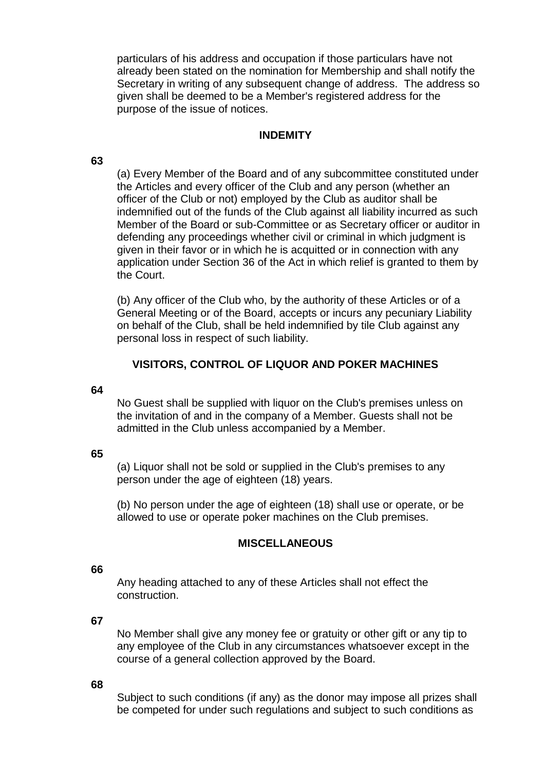particulars of his address and occupation if those particulars have not already been stated on the nomination for Membership and shall notify the Secretary in writing of any subsequent change of address. The address so given shall be deemed to be a Member's registered address for the purpose of the issue of notices.

## **INDEMITY**

**63**

(a) Every Member of the Board and of any subcommittee constituted under the Articles and every officer of the Club and any person (whether an officer of the Club or not) employed by the Club as auditor shall be indemnified out of the funds of the Club against all liability incurred as such Member of the Board or sub-Committee or as Secretary officer or auditor in defending any proceedings whether civil or criminal in which judgment is given in their favor or in which he is acquitted or in connection with any application under Section 36 of the Act in which relief is granted to them by the Court.

(b) Any officer of the Club who, by the authority of these Articles or of a General Meeting or of the Board, accepts or incurs any pecuniary Liability on behalf of the Club, shall be held indemnified by tile Club against any personal loss in respect of such liability.

## **VISITORS, CONTROL OF LIQUOR AND POKER MACHINES**

#### **64**

No Guest shall be supplied with liquor on the Club's premises unless on the invitation of and in the company of a Member. Guests shall not be admitted in the Club unless accompanied by a Member.

#### **65**

(a) Liquor shall not be sold or supplied in the Club's premises to any person under the age of eighteen (18) years.

(b) No person under the age of eighteen (18) shall use or operate, or be allowed to use or operate poker machines on the Club premises.

#### **MISCELLANEOUS**

#### **66**

Any heading attached to any of these Articles shall not effect the construction.

#### **67**

No Member shall give any money fee or gratuity or other gift or any tip to any employee of the Club in any circumstances whatsoever except in the course of a general collection approved by the Board.

#### **68**

Subject to such conditions (if any) as the donor may impose all prizes shall be competed for under such regulations and subject to such conditions as